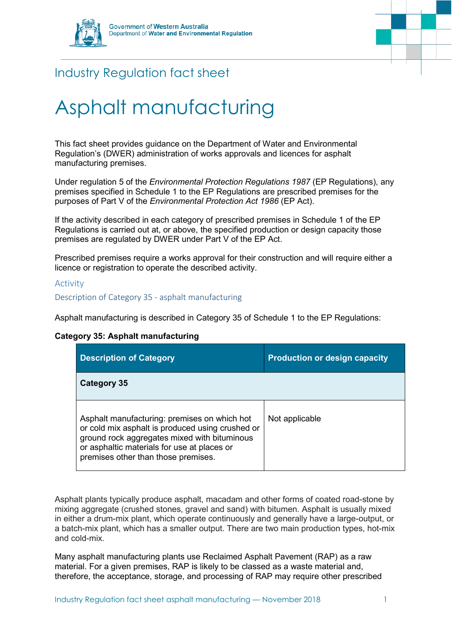



# Industry Regulation fact sheet

# Asphalt manufacturing

This fact sheet provides guidance on the Department of Water and Environmental Regulation's (DWER) administration of works approvals and licences for asphalt manufacturing premises.

Under regulation 5 of the *[Environmental Protection Regulations 1987](https://www.slp.wa.gov.au/legislation/statutes.nsf/main_mrtitle_1400_homepage.html)* (EP Regulations), any premises specified in Schedule 1 to the EP Regulations are prescribed premises for the purposes of Part V of the *[Environmental Protection Act 1986](https://www.slp.wa.gov.au/legislation/statutes.nsf/main_mrtitle_304_homepage.html)* (EP Act).

If the activity described in each category of prescribed premises in Schedule 1 of the EP Regulations is carried out at, or above, the specified production or design capacity those premises are regulated by DWER under Part V of the EP Act.

Prescribed premises require a works approval for their construction and will require either a licence or registration to operate the described activity.

### Activity

### Description of Category 35 - asphalt manufacturing

Asphalt manufacturing is described in Category 35 of Schedule 1 to the EP Regulations:

# **Category 35: Asphalt manufacturing**

| <b>Description of Category</b>                                                                                                                                                                                                         | <b>Production or design capacity</b> |
|----------------------------------------------------------------------------------------------------------------------------------------------------------------------------------------------------------------------------------------|--------------------------------------|
| Category 35                                                                                                                                                                                                                            |                                      |
| Asphalt manufacturing: premises on which hot<br>or cold mix asphalt is produced using crushed or<br>ground rock aggregates mixed with bituminous<br>or asphaltic materials for use at places or<br>premises other than those premises. | Not applicable                       |

Asphalt plants typically produce asphalt, macadam and other forms of coated road-stone by mixing aggregate (crushed stones, gravel and sand) with bitumen. Asphalt is usually mixed in either a drum-mix plant, which operate continuously and generally have a large-output, or a batch-mix plant, which has a smaller output. There are two main production types, hot-mix and cold-mix.

Many asphalt manufacturing plants use Reclaimed Asphalt Pavement (RAP) as a raw material. For a given premises, RAP is likely to be classed as a waste material and, therefore, the acceptance, storage, and processing of RAP may require other prescribed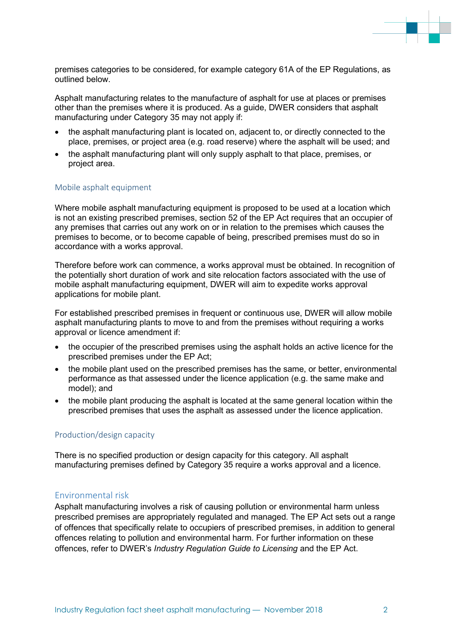

premises categories to be considered, for example category 61A of the EP Regulations, as outlined below.

Asphalt manufacturing relates to the manufacture of asphalt for use at places or premises other than the premises where it is produced. As a guide, DWER considers that asphalt manufacturing under Category 35 may not apply if:

- the asphalt manufacturing plant is located on, adiacent to, or directly connected to the place, premises, or project area (e.g. road reserve) where the asphalt will be used; and
- the asphalt manufacturing plant will only supply asphalt to that place, premises, or project area.

#### Mobile asphalt equipment

Where mobile asphalt manufacturing equipment is proposed to be used at a location which is not an existing prescribed premises, section 52 of the EP Act requires that an occupier of any premises that carries out any work on or in relation to the premises which causes the premises to become, or to become capable of being, prescribed premises must do so in accordance with a works approval.

Therefore before work can commence, a works approval must be obtained. In recognition of the potentially short duration of work and site relocation factors associated with the use of mobile asphalt manufacturing equipment, DWER will aim to expedite works approval applications for mobile plant.

For established prescribed premises in frequent or continuous use, DWER will allow mobile asphalt manufacturing plants to move to and from the premises without requiring a works approval or licence amendment if:

- the occupier of the prescribed premises using the asphalt holds an active licence for the prescribed premises under the EP Act;
- the mobile plant used on the prescribed premises has the same, or better, environmental performance as that assessed under the licence application (e.g. the same make and model); and
- the mobile plant producing the asphalt is located at the same general location within the prescribed premises that uses the asphalt as assessed under the licence application.

# Production/design capacity

There is no specified production or design capacity for this category. All asphalt manufacturing premises defined by Category 35 require a works approval and a licence.

# Environmental risk

Asphalt manufacturing involves a risk of causing pollution or environmental harm unless prescribed premises are appropriately regulated and managed. The EP Act sets out a range of offences that specifically relate to occupiers of prescribed premises, in addition to general offences relating to pollution and environmental harm. For further information on these offences, refer to DWER's *Industry Regulation Guide to Licensing* and the EP Act.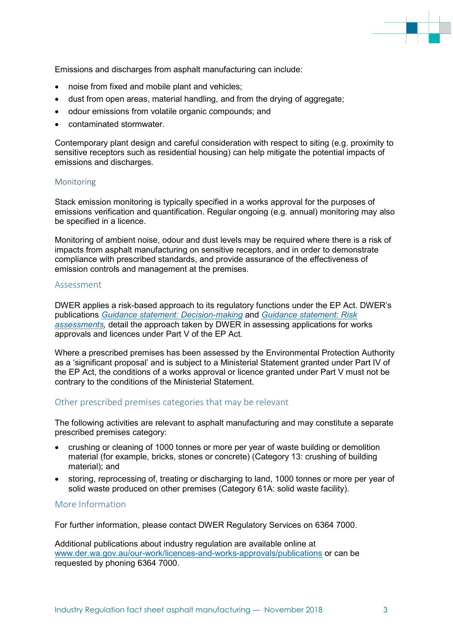Emissions and discharges from asphalt manufacturing can include:

- noise from fixed and mobile plant and vehicles;
- dust from open areas, material handling, and from the drying of aggregate;
- odour emissions from volatile organic compounds; and
- contaminated stormwater.

Contemporary plant design and careful consideration with respect to siting (e.g. proximity to sensitive receptors such as residential housing) can help mitigate the potential impacts of emissions and discharges.

#### Monitoring

Stack emission monitoring is typically specified in a works approval for the purposes of emissions verification and quantification. Regular ongoing (e.g. annual) monitoring may also be specified in a licence.

Monitoring of ambient noise, odour and dust levels may be required where there is a risk of impacts from asphalt manufacturing on sensitive receptors, and in order to demonstrate compliance with prescribed standards, and provide assurance of the effectiveness of emission controls and management at the premises.

#### Assessment

DWER applies a risk-based approach to its regulatory functions under the EP Act. DWER's publications *[Guidance statement: Decision-making](https://www.der.wa.gov.au/images/documents/our-work/licences-and-works-approvals/GS_Decision_Making.pdf)* and *[Guidance statement: Risk](https://www.der.wa.gov.au/images/documents/our-work/licences-and-works-approvals/GS_Risk_Assessments.pdf)  [assessments,](https://www.der.wa.gov.au/images/documents/our-work/licences-and-works-approvals/GS_Risk_Assessments.pdf)* detail the approach taken by DWER in assessing applications for works approvals and licences under Part V of the EP Act*.*

Where a prescribed premises has been assessed by the Environmental Protection Authority as a 'significant proposal' and is subject to a Ministerial Statement granted under Part IV of the EP Act, the conditions of a works approval or licence granted under Part V must not be contrary to the conditions of the Ministerial Statement.

# Other prescribed premises categories that may be relevant

The following activities are relevant to asphalt manufacturing and may constitute a separate prescribed premises category:

- crushing or cleaning of 1000 tonnes or more per year of waste building or demolition material (for example, bricks, stones or concrete) (Category 13: crushing of building material); and
- storing, reprocessing of, treating or discharging to land, 1000 tonnes or more per year of solid waste produced on other premises (Category 61A: solid waste facility).

#### More Information

For further information, please contact DWER Regulatory Services on 6364 7000.

Additional publications about industry regulation are available online at [www.der.wa.gov.au/our-work/licences-and-works-approvals/publications](http://www.der.wa.gov.au/our-work/licences-and-works-approvals/publications) or can be requested by phoning 6364 7000.